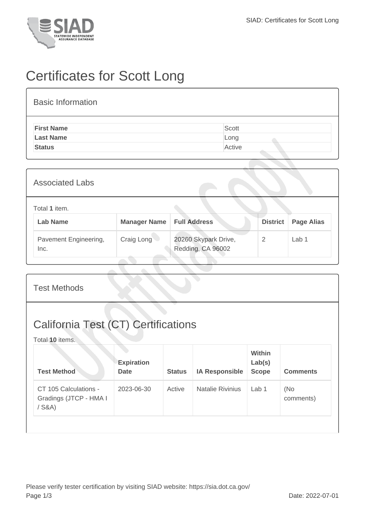

## Certificates for Scott Long

## Basic Information

| <b>First Name</b> | Scott  |
|-------------------|--------|
| <b>Last Name</b>  | Long   |
| <b>Status</b>     | Active |
|                   |        |

| <b>Associated Labs</b>           |                     |                                           |                 |                   |  |  |
|----------------------------------|---------------------|-------------------------------------------|-----------------|-------------------|--|--|
| Total 1 item.<br><b>Lab Name</b> | <b>Manager Name</b> | <b>Full Address</b>                       | <b>District</b> | <b>Page Alias</b> |  |  |
| Pavement Engineering,<br>Inc.    | Craig Long          | 20260 Skypark Drive,<br>Redding, CA 96002 | 2               | Lab <sub>1</sub>  |  |  |

| <b>Test Methods</b>                                           |                                  |               |                         |                                  |                  |  |  |
|---------------------------------------------------------------|----------------------------------|---------------|-------------------------|----------------------------------|------------------|--|--|
| <b>California Test (CT) Certifications</b><br>Total 10 items. |                                  |               |                         |                                  |                  |  |  |
| <b>Test Method</b>                                            | <b>Expiration</b><br><b>Date</b> | <b>Status</b> | <b>IA Responsible</b>   | Within<br>Lab(s)<br><b>Scope</b> | <b>Comments</b>  |  |  |
| CT 105 Calculations -<br>Gradings (JTCP - HMA I<br>$/$ S&A)   | 2023-06-30                       | Active        | <b>Natalie Rivinius</b> | Lab <sub>1</sub>                 | (No<br>comments) |  |  |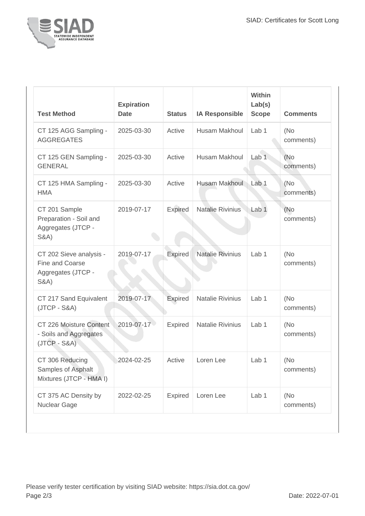

| <b>Test Method</b>                                                                  | <b>Expiration</b><br><b>Date</b> | <b>Status</b>  | <b>IA Responsible</b>   | <b>Within</b><br>Lab(s)<br><b>Scope</b> | <b>Comments</b>   |
|-------------------------------------------------------------------------------------|----------------------------------|----------------|-------------------------|-----------------------------------------|-------------------|
| CT 125 AGG Sampling -<br><b>AGGREGATES</b>                                          | 2025-03-30                       | Active         | Husam Makhoul           | Lab <sub>1</sub>                        | (No<br>comments)  |
| CT 125 GEN Sampling -<br><b>GENERAL</b>                                             | 2025-03-30                       | Active         | Husam Makhoul           | Lab <sub>1</sub>                        | (No<br>comments)  |
| CT 125 HMA Sampling -<br><b>HMA</b>                                                 | 2025-03-30                       | Active         | Husam Makhoul           | Lab 1                                   | (No<br>comments)  |
| CT 201 Sample<br>Preparation - Soil and<br>Aggregates (JTCP -<br><b>S&amp;A)</b>    | 2019-07-17                       | Expired        | <b>Natalie Rivinius</b> | Lab <sub>1</sub>                        | (No)<br>comments) |
| CT 202 Sieve analysis -<br>Fine and Coarse<br>Aggregates (JTCP -<br><b>S&amp;A)</b> | 2019-07-17                       | <b>Expired</b> | <b>Natalie Rivinius</b> | Lab <sub>1</sub>                        | (No<br>comments)  |
| CT 217 Sand Equivalent<br>$(JTCP - S&A)$                                            | 2019-07-17                       | Expired        | <b>Natalie Rivinius</b> | Lab 1                                   | (No<br>comments)  |
| CT 226 Moisture Content<br>- Soils and Aggregates<br>$(JTCP - S&A)$                 | 2019-07-17                       | Expired        | <b>Natalie Rivinius</b> | Lab <sub>1</sub>                        | (No<br>comments)  |
| CT 306 Reducing<br>Samples of Asphalt<br>Mixtures (JTCP - HMA I)                    | 2024-02-25                       | Active         | Loren Lee               | Lab 1                                   | (No<br>comments)  |
| CT 375 AC Density by<br>Nuclear Gage                                                | 2022-02-25                       | <b>Expired</b> | Loren Lee               | Lab 1                                   | (No<br>comments)  |